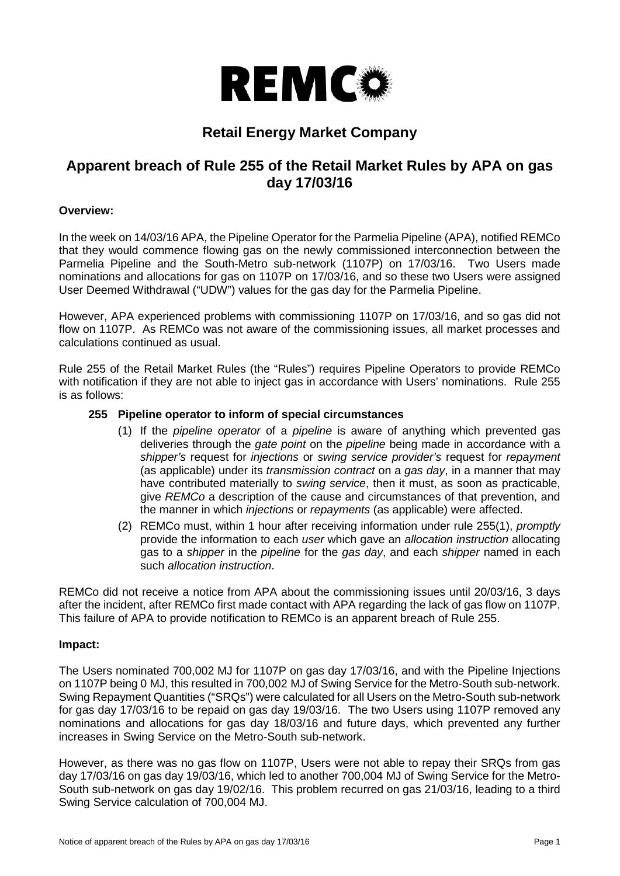

# **Retail Energy Market Company**

## **Apparent breach of Rule 255 of the Retail Market Rules by APA on gas day 17/03/16**

## **Overview:**

In the week on 14/03/16 APA, the Pipeline Operator for the Parmelia Pipeline (APA), notified REMCo that they would commence flowing gas on the newly commissioned interconnection between the Parmelia Pipeline and the South-Metro sub-network (1107P) on 17/03/16. Two Users made nominations and allocations for gas on 1107P on 17/03/16, and so these two Users were assigned User Deemed Withdrawal ("UDW") values for the gas day for the Parmelia Pipeline.

However, APA experienced problems with commissioning 1107P on 17/03/16, and so gas did not flow on 1107P. As REMCo was not aware of the commissioning issues, all market processes and calculations continued as usual.

Rule 255 of the Retail Market Rules (the "Rules") requires Pipeline Operators to provide REMCo with notification if they are not able to inject gas in accordance with Users' nominations. Rule 255 is as follows:

## <span id="page-0-0"></span>**255 Pipeline operator to inform of special circumstances**

- (1) If the *pipeline operator* of a *pipeline* is aware of anything which prevented gas deliveries through the *gate point* on the *pipeline* being made in accordance with a *shipper's* request for *injections* or *swing service provider's* request for *repayment* (as applicable) under its *transmission contract* on a *gas day*, in a manner that may have contributed materially to *swing service*, then it must, as soon as practicable, give *REMCo* a description of the cause and circumstances of that prevention, and the manner in which *injections* or *repayments* (as applicable) were affected.
- (2) REMCo must, within 1 hour after receiving information under rule [255\(1\),](#page-0-0) *promptly*  provide the information to each *user* which gave an *allocation instruction* allocating gas to a *shipper* in the *pipeline* for the *gas day*, and each *shipper* named in each such *allocation instruction*.

REMCo did not receive a notice from APA about the commissioning issues until 20/03/16, 3 days after the incident, after REMCo first made contact with APA regarding the lack of gas flow on 1107P. This failure of APA to provide notification to REMCo is an apparent breach of Rule 255.

#### **Impact:**

The Users nominated 700,002 MJ for 1107P on gas day 17/03/16, and with the Pipeline Injections on 1107P being 0 MJ, this resulted in 700,002 MJ of Swing Service for the Metro-South sub-network. Swing Repayment Quantities ("SRQs") were calculated for all Users on the Metro-South sub-network for gas day 17/03/16 to be repaid on gas day 19/03/16. The two Users using 1107P removed any nominations and allocations for gas day 18/03/16 and future days, which prevented any further increases in Swing Service on the Metro-South sub-network.

However, as there was no gas flow on 1107P, Users were not able to repay their SRQs from gas day 17/03/16 on gas day 19/03/16, which led to another 700,004 MJ of Swing Service for the Metro-South sub-network on gas day 19/02/16. This problem recurred on gas 21/03/16, leading to a third Swing Service calculation of 700,004 MJ.